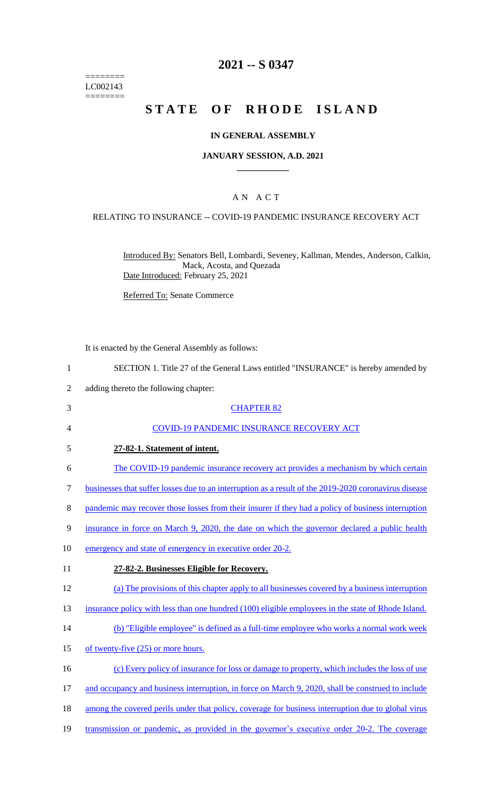======== LC002143  $=$ 

# **2021 -- S 0347**

# **STATE OF RHODE ISLAND**

## **IN GENERAL ASSEMBLY**

#### **JANUARY SESSION, A.D. 2021 \_\_\_\_\_\_\_\_\_\_\_\_**

# A N A C T

## RELATING TO INSURANCE -- COVID-19 PANDEMIC INSURANCE RECOVERY ACT

Introduced By: Senators Bell, Lombardi, Seveney, Kallman, Mendes, Anderson, Calkin, Mack, Acosta, and Quezada Date Introduced: February 25, 2021

Referred To: Senate Commerce

It is enacted by the General Assembly as follows:

| $\mathbf{1}$   | SECTION 1. Title 27 of the General Laws entitled "INSURANCE" is hereby amended by                     |
|----------------|-------------------------------------------------------------------------------------------------------|
| $\overline{2}$ | adding thereto the following chapter:                                                                 |
| 3              | <b>CHAPTER 82</b>                                                                                     |
| 4              | <b>COVID-19 PANDEMIC INSURANCE RECOVERY ACT</b>                                                       |
| 5              | 27-82-1. Statement of intent.                                                                         |
| 6              | The COVID-19 pandemic insurance recovery act provides a mechanism by which certain                    |
| $\tau$         | businesses that suffer losses due to an interruption as a result of the 2019-2020 coronavirus disease |
| 8              | pandemic may recover those losses from their insurer if they had a policy of business interruption    |
| 9              | insurance in force on March 9, 2020, the date on which the governor declared a public health          |
| 10             | emergency and state of emergency in executive order 20-2.                                             |
| 11             | 27-82-2. Businesses Eligible for Recovery.                                                            |
| 12             | (a) The provisions of this chapter apply to all businesses covered by a business interruption         |
| 13             | insurance policy with less than one hundred (100) eligible employees in the state of Rhode Island.    |
| 14             | (b) "Eligible employee" is defined as a full-time employee who works a normal work week               |
| 15             | of twenty-five (25) or more hours.                                                                    |
| 16             | (c) Every policy of insurance for loss or damage to property, which includes the loss of use          |
| 17             | and occupancy and business interruption, in force on March 9, 2020, shall be construed to include     |
| 18             | among the covered perils under that policy, coverage for business interruption due to global virus    |
| 19             | transmission or pandemic, as provided in the governor's executive order 20-2. The coverage            |
|                |                                                                                                       |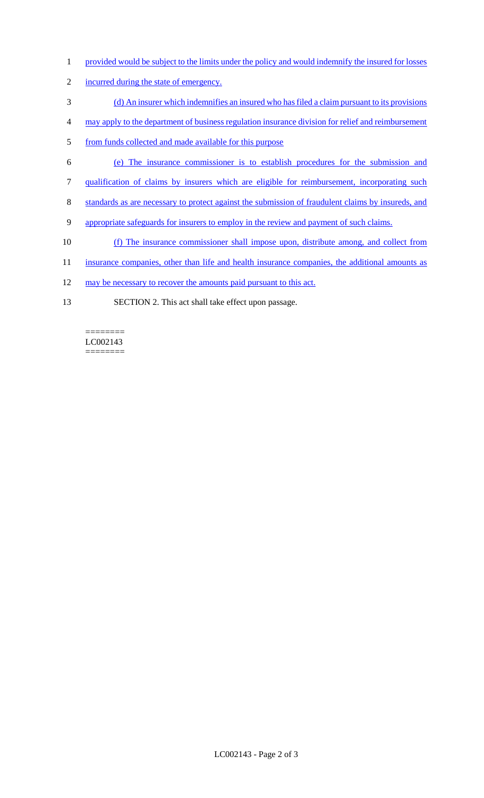- 1 provided would be subject to the limits under the policy and would indemnify the insured for losses
- 2 incurred during the state of emergency.
- 3 (d) An insurer which indemnifies an insured who has filed a claim pursuant to its provisions
- 4 may apply to the department of business regulation insurance division for relief and reimbursement
- 5 from funds collected and made available for this purpose
- 6 (e) The insurance commissioner is to establish procedures for the submission and
- 7 qualification of claims by insurers which are eligible for reimbursement, incorporating such
- 8 standards as are necessary to protect against the submission of fraudulent claims by insureds, and
- 9 appropriate safeguards for insurers to employ in the review and payment of such claims.
- 10 (f) The insurance commissioner shall impose upon, distribute among, and collect from
- 11 insurance companies, other than life and health insurance companies, the additional amounts as
- 12 may be necessary to recover the amounts paid pursuant to this act.
- 13 SECTION 2. This act shall take effect upon passage.

#### LC002143 ========

 $=$